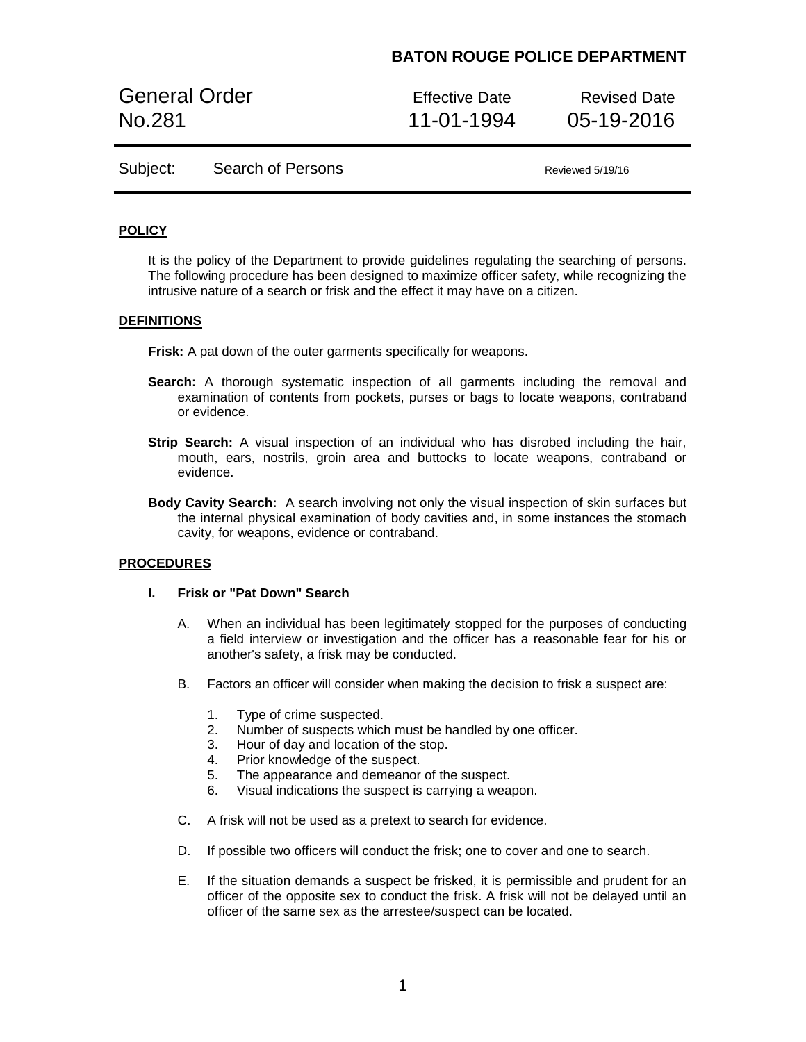General Order **Effective Date** Revised Date No.281 11-01-1994 05-19-2016

Subject: Search of Persons Reviewed 5/19/16

### **POLICY**

It is the policy of the Department to provide guidelines regulating the searching of persons. The following procedure has been designed to maximize officer safety, while recognizing the intrusive nature of a search or frisk and the effect it may have on a citizen.

#### **DEFINITIONS**

**Frisk:** A pat down of the outer garments specifically for weapons.

- **Search:** A thorough systematic inspection of all garments including the removal and examination of contents from pockets, purses or bags to locate weapons, contraband or evidence.
- **Strip Search:** A visual inspection of an individual who has disrobed including the hair, mouth, ears, nostrils, groin area and buttocks to locate weapons, contraband or evidence.
- **Body Cavity Search:** A search involving not only the visual inspection of skin surfaces but the internal physical examination of body cavities and, in some instances the stomach cavity, for weapons, evidence or contraband.

#### **PROCEDURES**

### **I. Frisk or "Pat Down" Search**

- A. When an individual has been legitimately stopped for the purposes of conducting a field interview or investigation and the officer has a reasonable fear for his or another's safety, a frisk may be conducted.
- B. Factors an officer will consider when making the decision to frisk a suspect are:
	- 1. Type of crime suspected.
	- 2. Number of suspects which must be handled by one officer.
	- 3. Hour of day and location of the stop.
	- 4. Prior knowledge of the suspect.
	- 5. The appearance and demeanor of the suspect.
	- 6. Visual indications the suspect is carrying a weapon.
- C. A frisk will not be used as a pretext to search for evidence.
- D. If possible two officers will conduct the frisk; one to cover and one to search.
- E. If the situation demands a suspect be frisked, it is permissible and prudent for an officer of the opposite sex to conduct the frisk. A frisk will not be delayed until an officer of the same sex as the arrestee/suspect can be located.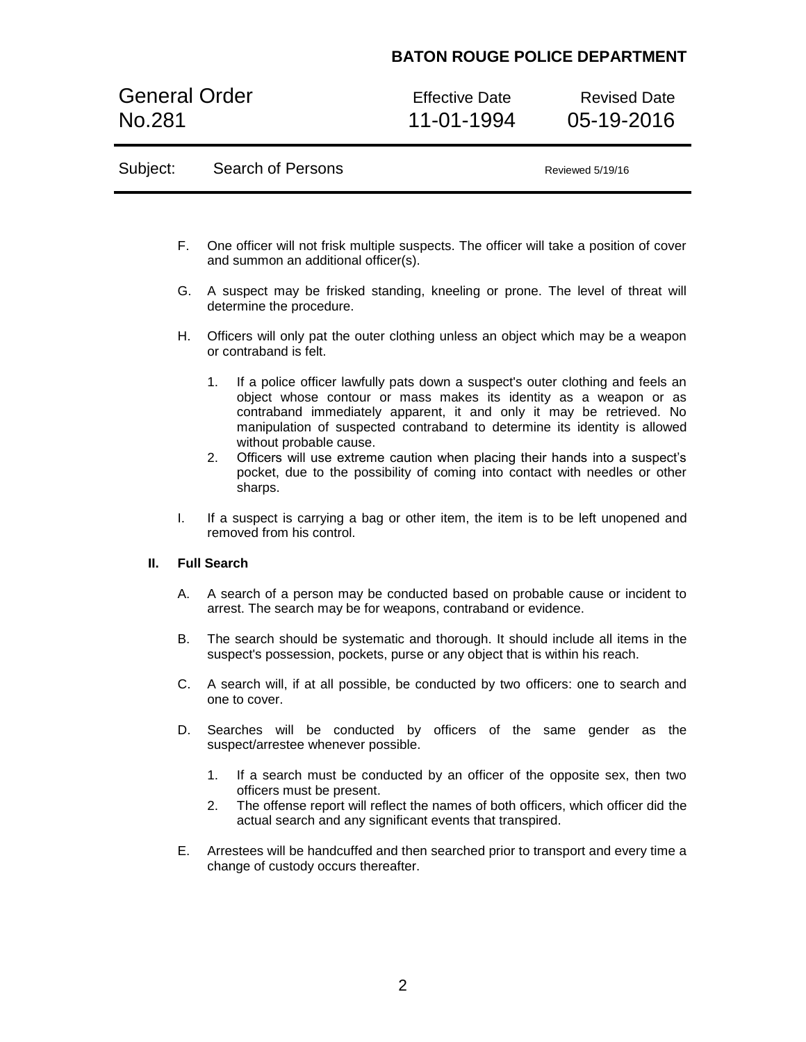General Order **Effective Date** Revised Date No.281 11-01-1994 05-19-2016

| Subject: | Search of Persons |  |
|----------|-------------------|--|
|----------|-------------------|--|

Reviewed 5/19/16

- F. One officer will not frisk multiple suspects. The officer will take a position of cover and summon an additional officer(s).
- G. A suspect may be frisked standing, kneeling or prone. The level of threat will determine the procedure.
- H. Officers will only pat the outer clothing unless an object which may be a weapon or contraband is felt.
	- 1. If a police officer lawfully pats down a suspect's outer clothing and feels an object whose contour or mass makes its identity as a weapon or as contraband immediately apparent, it and only it may be retrieved. No manipulation of suspected contraband to determine its identity is allowed without probable cause.
	- 2. Officers will use extreme caution when placing their hands into a suspect's pocket, due to the possibility of coming into contact with needles or other sharps.
- I. If a suspect is carrying a bag or other item, the item is to be left unopened and removed from his control.

#### **II. Full Search**

- A. A search of a person may be conducted based on probable cause or incident to arrest. The search may be for weapons, contraband or evidence.
- B. The search should be systematic and thorough. It should include all items in the suspect's possession, pockets, purse or any object that is within his reach.
- C. A search will, if at all possible, be conducted by two officers: one to search and one to cover.
- D. Searches will be conducted by officers of the same gender as the suspect/arrestee whenever possible.
	- 1. If a search must be conducted by an officer of the opposite sex, then two officers must be present.
	- 2. The offense report will reflect the names of both officers, which officer did the actual search and any significant events that transpired.
- E. Arrestees will be handcuffed and then searched prior to transport and every time a change of custody occurs thereafter.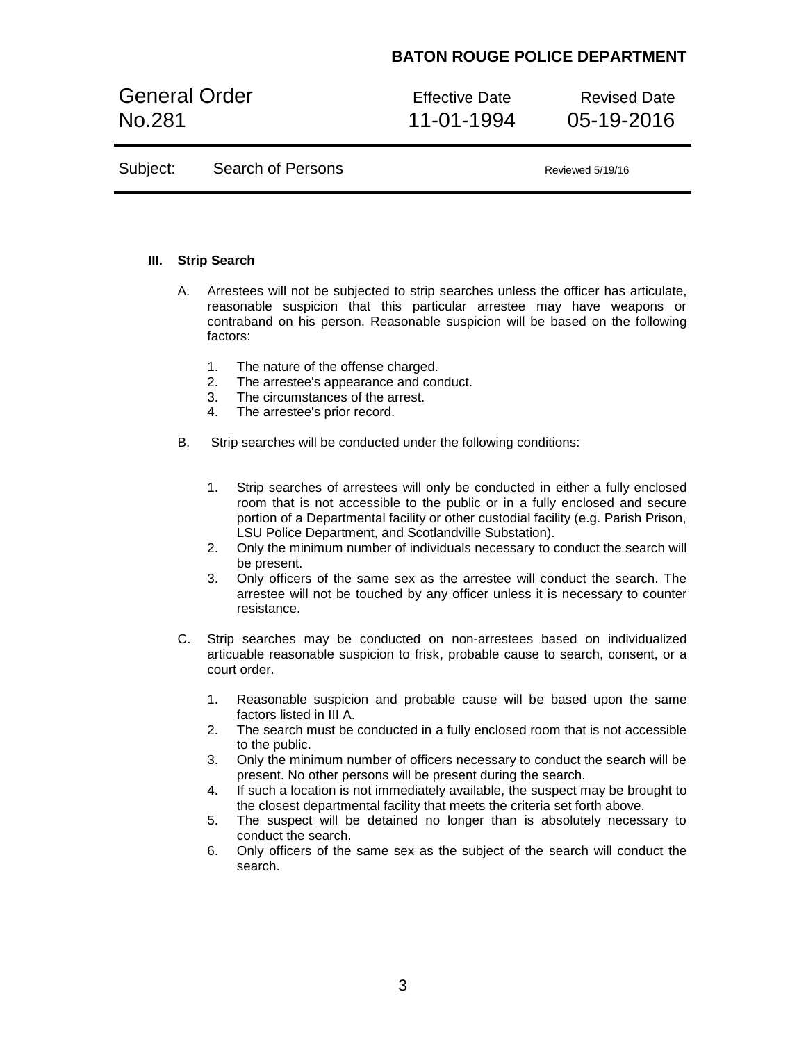General Order **Effective Date** Revised Date No.281 11-01-1994 05-19-2016

Subject: Search of Persons Reviewed 5/19/16

### **III. Strip Search**

- A. Arrestees will not be subjected to strip searches unless the officer has articulate, reasonable suspicion that this particular arrestee may have weapons or contraband on his person. Reasonable suspicion will be based on the following factors:
	- 1. The nature of the offense charged.
	- 2. The arrestee's appearance and conduct.
	- 3. The circumstances of the arrest.
	- 4. The arrestee's prior record.
- B. Strip searches will be conducted under the following conditions:
	- 1. Strip searches of arrestees will only be conducted in either a fully enclosed room that is not accessible to the public or in a fully enclosed and secure portion of a Departmental facility or other custodial facility (e.g. Parish Prison, LSU Police Department, and Scotlandville Substation).
	- 2. Only the minimum number of individuals necessary to conduct the search will be present.
	- 3. Only officers of the same sex as the arrestee will conduct the search. The arrestee will not be touched by any officer unless it is necessary to counter resistance.
- C. Strip searches may be conducted on non-arrestees based on individualized articuable reasonable suspicion to frisk, probable cause to search, consent, or a court order.
	- 1. Reasonable suspicion and probable cause will be based upon the same factors listed in III A.
	- 2. The search must be conducted in a fully enclosed room that is not accessible to the public.
	- 3. Only the minimum number of officers necessary to conduct the search will be present. No other persons will be present during the search.
	- 4. If such a location is not immediately available, the suspect may be brought to the closest departmental facility that meets the criteria set forth above.
	- 5. The suspect will be detained no longer than is absolutely necessary to conduct the search.
	- 6. Only officers of the same sex as the subject of the search will conduct the search.